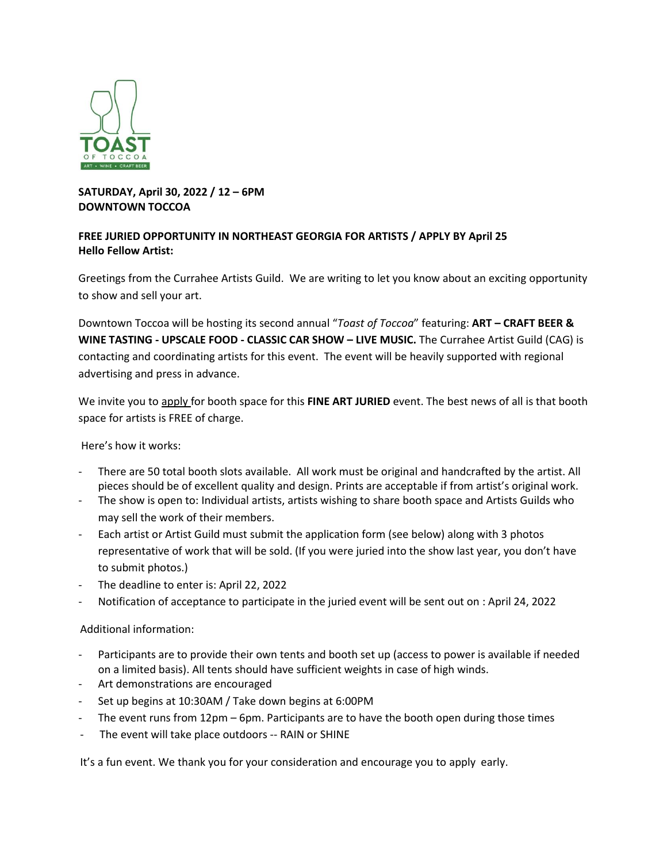

## **SATURDAY, April 30, 2022 / 12 – 6PM DOWNTOWN TOCCOA**

## **FREE JURIED OPPORTUNITY IN NORTHEAST GEORGIA FOR ARTISTS / APPLY BY April 25 Hello Fellow Artist:**

Greetings from the Currahee Artists Guild. We are writing to let you know about an exciting opportunity to show and sell your art.

Downtown Toccoa will be hosting its second annual "*Toast of Toccoa*" featuring: **ART – CRAFT BEER & WINE TASTING - UPSCALE FOOD - CLASSIC CAR SHOW – LIVE MUSIC.** The Currahee Artist Guild (CAG) is contacting and coordinating artists for this event. The event will be heavily supported with regional advertising and press in advance.

We invite you to apply for booth space for this **FINE ART JURIED** event. The best news of all is that booth space for artists is FREE of charge.

Here's how it works:

- There are 50 total booth slots available. All work must be original and handcrafted by the artist. All pieces should be of excellent quality and design. Prints are acceptable if from artist's original work.
- The show is open to: Individual artists, artists wishing to share booth space and Artists Guilds who may sell the work of their members.
- Each artist or Artist Guild must submit the application form (see below) along with 3 photos representative of work that will be sold. (If you were juried into the show last year, you don't have to submit photos.)
- The deadline to enter is: April 22, 2022
- Notification of acceptance to participate in the juried event will be sent out on : April 24, 2022

Additional information:

- Participants are to provide their own tents and booth set up (access to power is available if needed on a limited basis). All tents should have sufficient weights in case of high winds.
- Art demonstrations are encouraged
- Set up begins at 10:30AM / Take down begins at 6:00PM
- The event runs from 12pm 6pm. Participants are to have the booth open during those times
- The event will take place outdoors -- RAIN or SHINE

It's a fun event. We thank you for your consideration and encourage you to apply early.